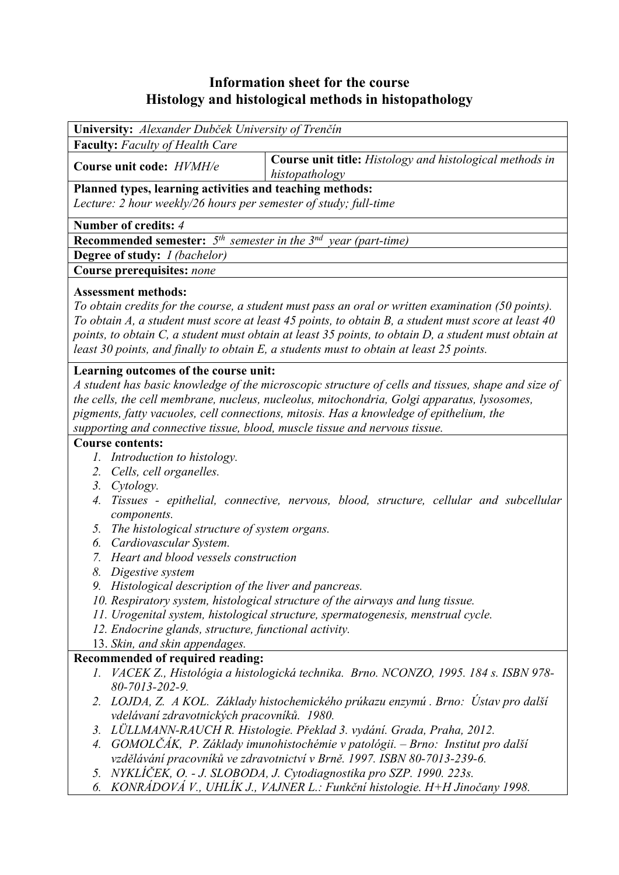# **Information sheet for the course Histology and histological methods in histopathology**

| <b>University:</b> Alexander Dubček University of Trenčín                 |                                                                 |
|---------------------------------------------------------------------------|-----------------------------------------------------------------|
| <b>Faculty:</b> Faculty of Health Care                                    |                                                                 |
| Course unit code: <i>HVMH/e</i>                                           | <b>Course unit title:</b> Histology and histological methods in |
|                                                                           | histopathology                                                  |
| Planned types, learning activities and teaching methods:                  |                                                                 |
| Lecture: 2 hour weekly/26 hours per semester of study; full-time          |                                                                 |
| Number of credits: 4                                                      |                                                                 |
| <b>Recommended semester:</b> $5th$ semester in the $3nd$ year (part-time) |                                                                 |
| <b>Degree of study:</b> <i>I (bachelor)</i>                               |                                                                 |
| Course prerequisites: none                                                |                                                                 |
|                                                                           |                                                                 |

# **Assessment methods:**

*To obtain credits for the course, a student must pass an oral or written examination (50 points). To obtain A, a student must score at least 45 points, to obtain B, a student must score at least 40 points, to obtain C, a student must obtain at least 35 points, to obtain D, a student must obtain at least 30 points, and finally to obtain E, a students must to obtain at least 25 points.*

### **Learning outcomes of the course unit:**

*A student has basic knowledge of the microscopic structure of cells and tissues, shape and size of the cells, the cell membrane, nucleus, nucleolus, mitochondria, Golgi apparatus, lysosomes, pigments, fatty vacuoles, cell connections, mitosis. Has a knowledge of epithelium, the supporting and connective tissue, blood, muscle tissue and nervous tissue.* 

#### **Course contents:**

- *1. Introduction to histology.*
- *2. Cells, cell organelles.*
- *3. Cytology.*
- *4. Tissues epithelial, connective, nervous, blood, structure, cellular and subcellular components.*
- *5. The histological structure of system organs.*
- *6. Cardiovascular System.*
- *7. Heart and blood vessels construction*
- *8. Digestive system*
- *9. Histological description of the liver and pancreas.*
- *10. Respiratory system, histological structure of the airways and lung tissue.*
- *11. Urogenital system, histological structure, spermatogenesis, menstrual cycle.*
- *12. Endocrine glands, structure, functional activity.*
- 13. *Skin, and skin appendages.*

# **Recommended of required reading:**

- *1. VACEK Z., Histológia a histologická technika. Brno. NCONZO, 1995. 184 s. ISBN 978- 80-7013-202-9.*
- *2. LOJDA, Z. A KOL. Základy histochemického prúkazu enzymú . Brno: Ústav pro další vdelávaní zdravotnických pracovníků. 1980.*
- *3. LÜLLMANN-RAUCH R. Histologie. Překlad 3. vydání. Grada, Praha, 2012.*
- *4. GOMOLČÁK, P. Základy imunohistochémie v patológii. Brno: Institut pro další vzdělávání pracovníků ve zdravotnictví v Brně. 1997. ISBN 80-7013-239-6.*
- *5. NYKLÍČEK, O. J. SLOBODA, J. Cytodiagnostika pro SZP. 1990. 223s.*
- *6. KONRÁDOVÁ V., UHLÍK J., VAJNER L.: Funkční histologie. H+H Jinočany 1998.*